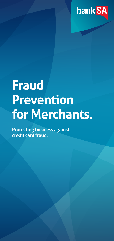

# **Fraud Prevention for Merchants.**

**Protecting business against credit card fraud.**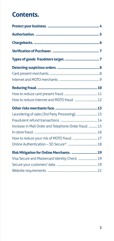## **Contents.**

| Laundering of sales (3rd Party Processing).  13       |  |
|-------------------------------------------------------|--|
|                                                       |  |
| Increase in Mail Order and Telephone Order fraud.  15 |  |
|                                                       |  |
|                                                       |  |
|                                                       |  |
| Risk Mitigation for Online Merchants.  19             |  |
| Visa Secure and Mastercard Identity Check.  19        |  |
|                                                       |  |
|                                                       |  |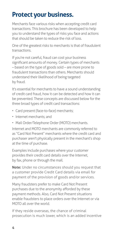## <span id="page-3-0"></span>**Protect your business.**

Merchants face various risks when accepting credit card transactions. This brochure has been developed to help you to understand the types of risks you face and actions that should be taken to reduce the risk of loss.

One of the greatest risks to merchants is that of fraudulent transactions.

If you're not careful, fraud can cost your business significant amounts of money. Certain types of merchants – based on the type of goods sold – are more prone to fraudulent transactions than others. Merchants should understand their likelihood of being targeted by fraud.

It's essential for merchants to have a sound understanding of credit card fraud, how it can be detected and how it can be prevented. These concepts are discussed below for the three broad types of credit card transactions:

- Card present (face-to-face) merchants;
- Internet merchants; and
- Mail Order/Telephone Order (MOTO) merchants.

Internet and MOTO merchants are commonly referred to as "Card Not Present" merchants where the credit card and purchaser aren't physically present in the merchant's shop at the time of purchase.

Examples include purchases where your customer provides their credit card details over the Internet, by fax, phone or through the mail.

**Note:** Under no circumstances should you request that a customer provide Credit Card details via email for payment of the provision of goods and/or services.

Many fraudsters prefer to make Card Not Present purchases due to the anonymity afforded by these payment methods. Also, Card Not Present situations enable fraudsters to place orders over the Internet or via MOTO all over the world.

If they reside overseas, the chance of criminal prosecution is much lower, which is an added incentive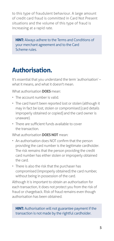<span id="page-4-0"></span>to this type of fraudulent behaviour. A large amount of credit card fraud is committed in Card Not Present situations and the volume of this type of fraud is increasing at a rapid rate.

**HINT:** Always adhere to the Terms and Conditions of your merchant agreement and to the Card Scheme rules.

## **Authorisation.**

It's essential that you understand the term 'authorisation' – what it means, and what it doesn't mean.

What authorisation **DOES** mean:

- The account number is valid.
- The card hasn't been reported lost or stolen (although it may in fact be lost, stolen or compromised [card details improperly obtained or copied] and the card owner is unaware).
- There are sufficient funds available to cover the transaction.

What authorisation **DOES NOT** mean:

- An authorisation does NOT confirm that the person providing the card number is the legitimate cardholder. The risk remains that the person providing the credit card number has either stolen or improperly obtained the card.
- There is also the risk that the purchaser has compromised (improperly obtained) the card number, without being in possession of the card.

Although it is important to obtain an authorisation for each transaction, it does not protect you from the risk of fraud or chargeback. Risk of fraud remains even though authorisation has been obtained.

#### **HINT:** Authorisation will not guarantee payment if the transaction is not made by the rightful cardholder.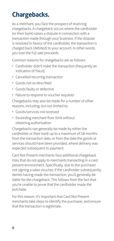# <span id="page-5-0"></span>**Chargebacks.**

As a merchant, you face the prospect of receiving chargebacks. A chargeback occurs where the cardholder (or their bank) raises a dispute in connection with a transaction made through your business. If the dispute is resolved in favour of the cardholder, the transaction is charged back (debited) to your account. In other words, you lose the full sale proceeds.

Common reasons for chargebacks are as follows:

- Cardholder didn't make the transaction (frequently an indication of fraud)
- Cancelled recurring transaction
- Goods not as described
- Goods faulty or defective
- Failure to respond to voucher requests

Chargebacks may also be made for a number of other reasons, including, but not limited to:

- Goods/services not received
- Exceeding merchant floor limit without obtaining authorisation

Chargebacks can generally be made by either the cardholder or their bank up to a maximum of 18 months from the transaction date, or from the date the goods or services should have been provided, where delivery was expected subsequent to payment.

Card Not Present merchants face additional chargeback risks that do not apply to merchants transacting in a card present environment. Specifically, due to the purchaser not signing a sales voucher, if the cardholder subsequently denies having made the transaction, you'll generally be liable for the chargeback. This follows from the fact that you're unable to prove that the cardholder made the purchase.

For this reason, it's important that Card Not Present merchants take steps to identify the purchaser, and ensure that the transaction is legitimate.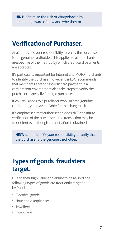# <span id="page-6-0"></span>**Verification of Purchaser.**

At all times, it's your responsibiity to verify the purchaser is the genuine cardholder. This applies to all merchants irrespective of the method by which credit card payments are accepted.

It's particularly important for Internet and MOTO merchants to identify the purchaser however BankSA recommends that merchants accepting credit card payment in a card present environment also take steps to verify the purchaser, especially for large purchases.

If you sell goods to a purchaser who isn't the genuine cardholder, you may be liable for the chargeback.

It's emphasised that authorisation does NOT constitute verification of the purchaser – the transaction may be fraudulent even though authorisation is obtained.

**HINT:** Remember it's your responsibility to verify that the purchaser is the genuine cardholder.

# **Types of goods fraudsters target.**

Due to their high value and ability to be re-sold, the following types of goods are frequently targeted by fraudsters:

- Electrical goods
- Household appliances
- Jewellery
- Computers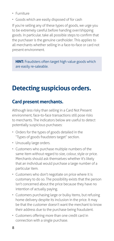- <span id="page-7-0"></span>• Furniture
- Goods which are easily disposed of for cash

If you're selling any of these types of goods, we urge you to be extremely careful before handing over/shipping goods. In particular, take all possible steps to confirm that the purchaser is the genuine cardholder. This applies to all merchants whether selling in a face-to-face or card not present environment.

**HINT:** Fraudsters often target high value goods which are easily re-saleable.

## **Detecting suspicious orders.**

## **Card present merchants.**

Although less risky than selling in a Card Not Present environment, face-to-face transactions still pose risks to merchants. The indicators below are useful to detect potentially suspicious purchases:

- Orders for the types of goods detailed in the "Types of goods fraudsters target" section.
- Unusually large orders.
- Customers who purchase multiple numbers of the same item without regard to size, colour, style or price. Merchants should ask themselves whether it's likely that an individual would purchase a large number of a particular item.
- Customers who don't negotiate on price where it is customary to do so. The possibility exists that the person isn't concerned about the price because they have no intention of actually paying.
- Customers purchasing large or bulky items, but refusing home delivery despite its inclusion in the price. It may be that the customer doesn't want the merchant to know their address due to the purchase being fraudulent.
- Customers offering more than one credit card in connection with a single purchase.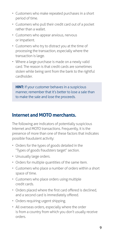- <span id="page-8-0"></span>• Customers who make repeated purchases in a short period of time.
- Customers who pull their credit card out of a pocket rather than a wallet.
- Customers who appear anxious, nervous or impatient.
- Customers who try to distract you at the time of processing the transaction, especially where the transaction is large.
- Where a large purchase is made on a newly valid card. The reason is that credit cards are sometimes stolen while being sent from the bank to the rightful cardholder.

**HINT:** If your customer behaves in a suspicious manner, remember that it's better to lose a sale than to make the sale and lose the proceeds.

#### **Internet and MOTO merchants.**

The following are indicators of potentially suspicious Internet and MOTO transactions. Frequently, it is the presence of more than one of these factors that indicates possible fraudulent activity:

- Orders for the types of goods detailed in the "Types of goods fraudsters target" section.
- Unusually large orders.
- Orders for multiple quantities of the same item.
- Customers who place a number of orders within a short space of time.
- Customers who place orders using multiple credit cards.
- Orders placed where the first card offered is declined, and a second card is immediately offered.
- Orders requiring urgent shipping.
- All overseas orders, especially where the order is from a country from which you don't usually receive orders.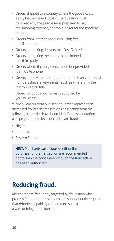- <span id="page-9-0"></span>• Orders shipped to a country where the goods could easily be purchased locally. The question must be asked why the purchaser is prepared to pay the shipping expense, and wait longer for the goods to arrive.
- Orders from Internet addresses using free email addresses.
- Orders requesting delivery to a Post Office Box.
- Orders requesting the goods to be shipped to a third party.
- Orders where the only contact number provided is a mobile phone.
- Orders made within a short period of time on credit card numbers that are very similar, such as where only the last four digits differ.
- Orders for goods not normally supplied by your business.

While all orders from overseas countries represent an increased fraud risk, transactions originating from the following countries have been identified as generating a disproportionate level of credit card fraud:

- Nigeria
- Indonesia
- Eastern Europe.

**HINT:** Merchants suspicious of either the purchaser or the transaction are recommended not to ship the goods, even though the transaction has been authorised.

# **Reducing fraud.**

Merchants are frequently targeted by fraudsters who process fraudulent transactions and subsequently request that refunds be paid by other means such as a wire or telegraphic transfer.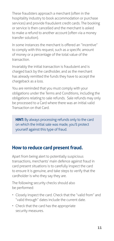<span id="page-10-0"></span>These fraudsters approach a merchant (often in the hospitality industry to book accommodation or purchase services) and provide fraudulent credit cards. The booking or service is then cancelled and the merchant is asked to make a refund to another account (often via a money transfer solution).

In some instances the merchant is offered an "incentive" to comply with this request, such as a specific amount of money or a percentage of the total value of the transaction.

Invariably the initial transaction is fraudulent and is charged back by the cardholder, and as the merchant has already remitted the funds they have to accept the chargeback as a loss.

You are reminded that you must comply with your obligations under the Terms and Conditions, including the obligations relating to sale refunds. Sale refunds may only be processed to a Card where there was an initial valid Transaction on that Card.

**HINT:** By always processing refunds only to the card on which the initial sale was made, you'll protect yourself against this type of fraud.

#### **How to reduce card present fraud.**

Apart from being alert to potentially suspicious transactions, merchants' main defence against fraud in card present situations is to carefully inspect the card to ensure it is genuine, and take steps to verify that the cardholder is who they say they are.

The following security checks should also be performed:

- Closely inspect the card. Check that the "valid from" and "valid through" dates include the current date.
- Check that the card has the appropriate security measures.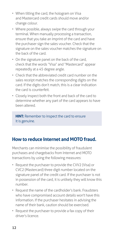- <span id="page-11-0"></span>• When tilting the card, the hologram on Visa and Mastercard credit cards should move and/or change colour.
- Where possible, always swipe the card through your terminal. When manually processing a transaction, ensure that you take an imprint of the card and have the purchaser sign the sales voucher. Check that the signature on the sales voucher matches the signature on the back of the card.
- On the signature panel on the back of the card, check that the words "Visa" and "Mastercard" appear repeatedly at a 45 degree angle.
- Check that the abbreviated credit card number on the sales receipt matches the corresponding digits on the card. If the digits don't match, this is a clear indication the card is counterfeit.
- Closely inspect both the front and back of the card to determine whether any part of the card appears to have been altered.

**HINT:** Remember to inspect the card to ensure it is genuine.

## **How to reduce Internet and MOTO fraud.**

Merchants can minimise the possibility of fraudulent purchases and chargebacks from Internet and MOTO transactions by using the following measures:

- Request the purchaser to provide the CVV2 (Visa) or CVC2 (Mastercard) three digit number located on the signature panel of the credit card. If the purchaser is not in possession of the card, it is unlikely they will know this number.
- Request the name of the cardholder's bank. Fraudsters who have compromised account details won't have this information. If the purchaser hesitates in advising the name of their bank, caution should be exercised.
- Request the purchaser to provide a fax copy of their driver's licence.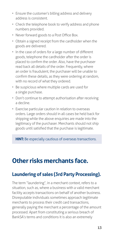- <span id="page-12-0"></span>• Ensure the customer's billing address and delivery address is consistent.
- Check the telephone book to verify address and phone numbers provided.
- Never forward goods to a Post Office Box.
- Obtain a signed receipt from the cardholder when the goods are delivered.
- In the case of orders for a large number of different goods, telephone the cardholder after the order is placed to confirm the order. Also, have the purchaser read back all details of the order. Frequently, where an order is fraudulent, the purchaser will be unable to confirm these details, as they were ordering at random, with no record of what they ordered.
- Be suspicious where multiple cards are used for a single purchase.
- Don't continue to attempt authorisation after receiving a decline.
- Exercise particular caution in relation to overseas orders. Large orders should in all cases be held back for shipping while the above enquiries are made into the legitimacy of the purchaser. Merchants should not ship goods until satisfied that the purchase is legitimate.

**HINT:** Be especially cautious of overseas transactions.

# **Other risks merchants face.**

## **Laundering of sales (3rd Party Processing).**

The term "laundering", in a merchant context, refers to a situation, such as, where a business with a valid merchant facility accepts transactions on behalf of another business. Disreputable individuals sometimes approach legitimate merchants to process their credit card transactions, generally paying the merchant a percentage of the amount processed. Apart from constituting a serious breach of BankSA's terms and conditions it is also an extremely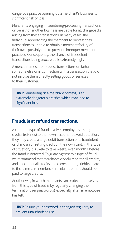<span id="page-13-0"></span>dangerous practice opening up a merchant's business to significant risk of loss.

Merchants engaging in laundering/processing transactions on behalf of another business are liable for all chargebacks arising from these transactions. In many cases, the individual approaching the merchant to process their transactions is unable to obtain a merchant facility of their own, possibly due to previous improper merchant practices. Consequently, the chance of fraudulent transactions being processed is extremely high.

A merchant must not process transactions on behalf of someone else or in connection with a transaction that did not involve them directly selling goods or services to their customer.

**HINT:** Laundering, in a merchant context, is an extremely dangerous practice which may lead to significant loss.

#### **Fraudulent refund transactions.**

A common type of fraud involves employees issuing credits (refunds) to their own account. To avoid detection, they may create a large debit transaction on a fraudulent card and an offsetting credit on their own card. In this type of situation, it is likely to take weeks, even months, before the fraud is detected. To guard against this type of fraud, we recommend that merchants closely monitor all credits, and check that all credits and corresponding debits relate to the same card number. Particular attention should be paid to large credits.

Another way in which merchants can protect themselves from this type of fraud is by regularly changing their terminal or user password(s), especially after an employee has left.

**HINT:** Ensure your password is changed regularly to prevent unauthorised use.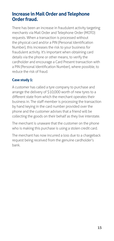#### <span id="page-14-0"></span>**Increase in Mail Order and Telephone Order fraud.**

There has been an increase in fraudulent activity targeting merchants via Mail Order and Telephone Order (MOTO) requests. When a transaction is processed without the physical card and/or a PIN (Personal Identification Number), this increases the risk to your business for fraudulent activity. It's important when obtaining card details via the phone or other means, to verify the cardholder and encourage a Card Present transaction with a PIN (Personal Identification Number), where possible, to reduce the risk of fraud.

#### **Case study 1:**

A customer has called a tyre company to purchase and arrange the delivery of \$10,000 worth of new tyres to a different state from which the merchant operates their business in. The staff member is processing the transaction by hand keying in the card number provided over the phone and the customer advises that a friend will be collecting the goods on their behalf as they live interstate.

The merchant is unaware that the customer on the phone who is making this purchase is using a stolen credit card.

The merchant has now incurred a loss due to a chargeback request being received from the genuine cardholder's bank.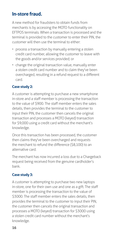### <span id="page-15-0"></span>**In-store fraud.**

A new method for fraudsters to obtain funds from merchants is by accessing the MOTO functionality on EFTPOS terminals. When a transaction is processed and the terminal is provided to the customer to enter their PIN, the customer will then use the terminal to either:

- process a transaction by manually entering a stolen credit card number, allowing the customer to leave with the goods and/or services provided; or
- change the original transaction value, manually enter a stolen credit card number and to claim they've been overcharged, resulting in a refund request to a different card.

#### **Case study 2:**

A customer is attempting to purchase a new smartphone in-store and a staff member is processing the transaction to the value of \$900. The staff member enters the sales details, then provides the terminal to the customer to input their PIN, the customer then cancels the original transaction and processes a MOTO (keyed) transaction for \$9,000 using a credit card without the merchant's knowledge.

Once this transaction has been processed, the customer then claims they've been overcharged and requests the merchant to refund the difference (\$8,100) to an alternative card.

The merchant has now incurred a loss due to a Chargeback request being received from the genuine cardholder's bank.

#### **Case study 3:**

A customer is attempting to purchase two new laptops in-store, one for their own use and one as a gift. The staff member is processing the transaction to the value of \$3000. The staff member enters the sales details, then provides the terminal to the customer to input their PIN, the customer then cancels the original transaction and processes a MOTO (keyed) transaction for \$3000 using a stolen credit card number without the merchant's knowledge.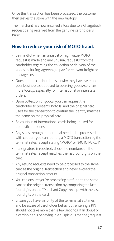<span id="page-16-0"></span>Once this transaction has been processed, the customer then leaves the store with the new laptops.

The merchant has now incurred a loss due to a Chargeback request being received from the genuine cardholder's bank.

#### **How to reduce your risk of MOTO fraud.**

- Be mindful when an unusual or high value MOTO request is made and any unusual requests from the cardholder regarding the collection or delivery of the goods including, agreeing to pay for relevant freight or postage costs.
- Question the cardholder as to why they have selected your business as opposed to sourcing goods/services more locally, especially for international or interstate orders.
- Upon collection of goods, you can request the cardholder to present Photo ID and the original card used for the transaction to confirm the identity matches the name on the physical card.
- Be cautious of international cards being utilised for domestic purposes.
- Any sales through the terminal need to be processed with caution; you can identify a MOTO transaction by the terminal sales receipt stating "MOTO" or "MOTO PURCH".
- If a signature is required, check the numbers on the terminal sales receipt matches the last four digits on the card.
- Any refund requests need to be processed to the same card as the original transaction and never exceed the original transaction amount.
- You can ensure you're processing a refund to the same card as the original transaction by comparing the last four digits on the "Merchant Copy" receipt with the last four digits on the card.
- Ensure you have visibility of the terminal at all times and be aware of cardholder behaviour, entering a PIN should not take more than a few seconds. If in doubt or a cardholder is behaving in a suspicious manner, request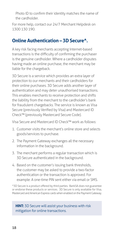<span id="page-17-0"></span>Photo ID to confirm their identity matches the name of the cardholder.

For more help, contact our 24/7 Merchant Helpdesk on 1300 130 190.

## **Online Authentication – 3D Secure^.**

A key risk facing merchants accepting Internet-based transactions is the difficulty of confirming the purchaser is the genuine cardholder. Where a cardholder disputes having made an online purchase, the merchant may be liable for the chargeback.

3D Secure is a service which provides an extra layer of protection to our merchants and their cardholders for their online purchases. 3D Secure adds another layer of authentication and may deter unauthorised transactions. This enables merchants to receive protection and shifts the liability from the merchant to the cardholder's bank for fraudulent chargebacks. The service is known as Visa Secure (previously Verified by Visa) and Mastercard ID Check™ (previously Mastercard Secure Code).

Visa Secure and Mastercard ID Check™ work as follows:

- 1. Customer visits the merchant's online store and selects goods/services to purchase.
- 2. The Payment Gateway exchanges all the necessary information in the background.
- 3. The merchant performs a regular transaction which is 3D Secure authenticated in the background.
- 4. Based on the customer's issuing bank thresholds, the customer may be asked to provide a two-factor authentication or the transaction is approved. For example: A one-time PIN sent either via email or SMS.

^3D Secure is a product offered by third parties. BankSA does not guarantee or endorse these products or services. 3D Secure is only available for Visa, Mastercard and American Express cards when enabled on the Payment Gateway.

**HINT:** 3D Secure will assist your business with risk mitigation for online transactions.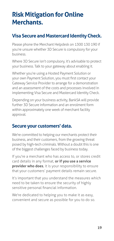## <span id="page-18-0"></span>**Risk Mitigation for Online Merchants.**

## **Visa Secure and Mastercard Identity Check.**

Please phone the Merchant Helpdesk on 1300 130 190 if you're unsure whether 3D Secure is compulsory for your business.

Where 3D Secure isn't compulsory, it's advisable to protect your business. Talk to your gateway about enabling it.

Whether you're using a Hosted Payment Solution or your own Payment Solution, you must first contact your Gateway Service Provider to arrange for a demonstration and an assessment of the costs and processes involved in implementing Visa Secure and Mastercard Identity Check.

Depending on your business activity, BankSA will provide further 3D Secure information and an enrolment form within approximately one week of merchant facility approval.

#### **Secure your customers' data.**

We're committed to helping our merchants protect their business, and their customers, from the growing threat posed by high-tech criminals. Without a doubt this is one of the biggest challenges faced by business today.

If you're a merchant who has access to, or stores credit card details in any format, **or if you use a service provider who does**, it is your responsibility to ensure that your customers' payment details remain secure.

It's important that you understand the measures which need to be taken to ensure the security of highly sensitive personal financial information.

We're dedicated to helping you to make it as easy, convenient and secure as possible for you to do so.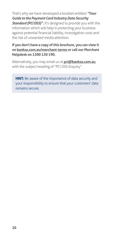That's why we have developed a booklet entitled *"Your Guide to the Payment Card Industry Data Security Standard (PCI DSS)".* It's designed to provide you with the information which will help in protecting your business against potential financial liability, investigative costs and the risk of unwanted media attention.

#### **If you don't have a copy of this brochure, you can view it on [banksa.com.au/merchant-terms](http://banksa.com.au/merchant-terms) or call our Merchant Helpdesk on 1300 130 190.**

Alternatively, you may email us at **pci@banksa.com.au** with the subject heading of "PCI DSS Enquiry".

**HINT:** Be aware of the importance of data security and your responsibility to ensure that your customers' data remains secure.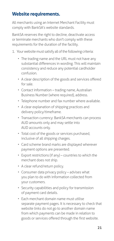### <span id="page-20-0"></span>**Website requirements.**

All merchants using an Internet Merchant Facility must comply with BankSA's website standards.

BankSA reserves the right to decline, deactivate access or terminate merchants who don't comply with these requirements for the duration of the facility.

- 1. Your website must satisfy all of the following criteria:
	- The trading name and the URL must not have any substantial differences in wording. This will maintain consistency and reduce any potential cardholder confusion.
	- A clear description of the goods and services offered for sale.
	- Contact information trading name, Australian Business Number (where required), address.
	- Telephone number and fax number where available.
	- A clear explanation of shipping practices and delivery policy/timeframe.
	- Transaction currency: BankSA merchants can process AUD amounts only and may settle into AUD accounts only.
	- Total cost of the goods or services purchased, inclusive of all shipping charges.
	- Card scheme brand marks are displayed wherever payment options are presented.
	- Export restrictions (if any) countries to which the merchant does not ship.
	- A clear refund/return policy.
	- Consumer data privacy policy advises what you plan to do with information collected from your customers.
	- Security capabilities and policy for transmission of payment card details.
	- Each merchant domain name must utilise separate payment pages. It is necessary to check that website links do not go to another domain name from which payments can be made in relation to goods or services offered through the first website.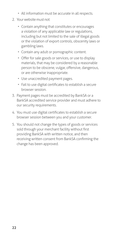- All information must be accurate in all respects.
- 2. Your website must not:
	- Contain anything that constitutes or encourages a violation of any applicable law or regulations, including but not limited to the sale of illegal goods or the violation of export controls, obscenity laws or gambling laws.
	- Contain any adult or pornographic content.
	- Offer for sale goods or services, or use to display materials, that may be considered by a reasonable person to be obscene, vulgar, offensive, dangerous, or are otherwise inappropriate.
	- Use unaccredited payment pages.
	- Fail to use digital certificates to establish a secure browser session.
- 3. Payment pages must be accredited by BankSA or a BankSA accredited service provider and must adhere to our security requirements.
- 4. You must use digital certificates to establish a secure browser session between you and your customer.
- 5. You should not change the types of goods or services sold through your merchant facility without first providing BankSA with written notice, and then receiving written consent from BankSA confirming the change has been approved.